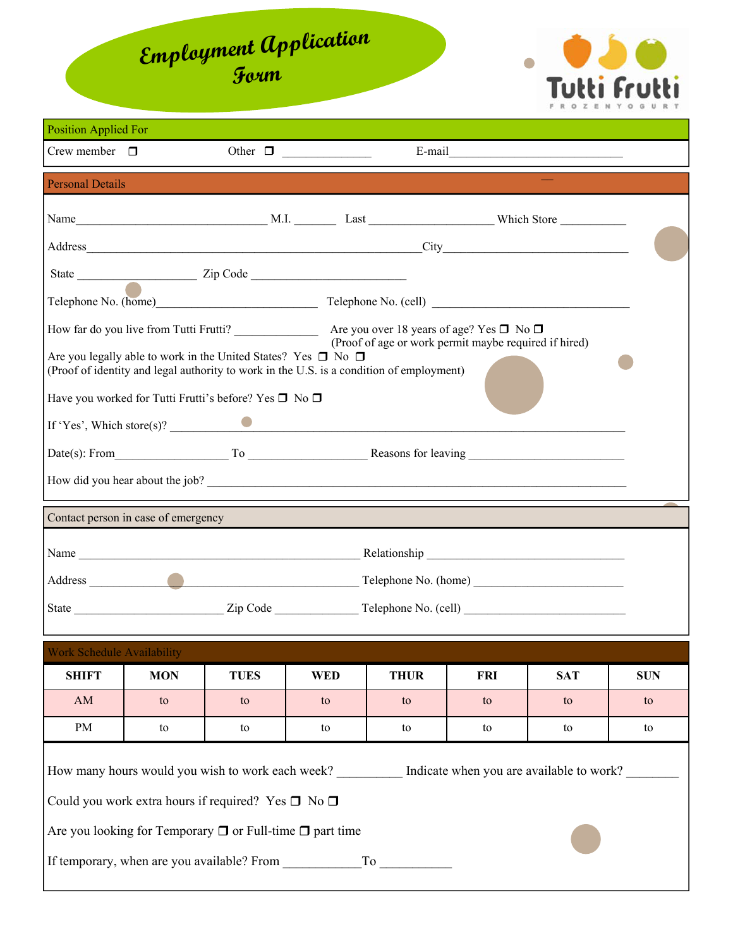## **Employment Application Form**



| <b>Position Applied For</b>        |                                     |                                                                                                                                                                     |                  |                                                       |                                          |                  |                  |  |
|------------------------------------|-------------------------------------|---------------------------------------------------------------------------------------------------------------------------------------------------------------------|------------------|-------------------------------------------------------|------------------------------------------|------------------|------------------|--|
| Crew member $\Box$<br>Other $\Box$ |                                     |                                                                                                                                                                     |                  |                                                       |                                          |                  |                  |  |
| <b>Personal Details</b>            |                                     |                                                                                                                                                                     |                  |                                                       |                                          |                  |                  |  |
|                                    |                                     |                                                                                                                                                                     |                  |                                                       |                                          |                  |                  |  |
|                                    |                                     |                                                                                                                                                                     |                  |                                                       |                                          |                  |                  |  |
|                                    |                                     |                                                                                                                                                                     |                  |                                                       |                                          |                  |                  |  |
|                                    |                                     |                                                                                                                                                                     |                  |                                                       |                                          |                  |                  |  |
|                                    |                                     |                                                                                                                                                                     |                  |                                                       |                                          |                  |                  |  |
|                                    |                                     | Are you legally able to work in the United States? Yes $\Box$ No $\Box$<br>(Proof of identity and legal authority to work in the U.S. is a condition of employment) |                  | (Proof of age or work permit maybe required if hired) |                                          |                  |                  |  |
|                                    |                                     | Have you worked for Tutti Frutti's before? Yes $\square$ No $\square$                                                                                               |                  |                                                       |                                          |                  |                  |  |
|                                    |                                     | If 'Yes', Which store(s)?                                                                                                                                           |                  |                                                       |                                          |                  |                  |  |
|                                    |                                     | Date(s): From To To Reasons for leaving                                                                                                                             |                  |                                                       |                                          |                  |                  |  |
|                                    |                                     |                                                                                                                                                                     |                  |                                                       |                                          |                  |                  |  |
|                                    | Contact person in case of emergency |                                                                                                                                                                     |                  |                                                       |                                          |                  |                  |  |
|                                    |                                     |                                                                                                                                                                     |                  |                                                       |                                          |                  |                  |  |
|                                    |                                     |                                                                                                                                                                     |                  |                                                       |                                          |                  |                  |  |
|                                    |                                     |                                                                                                                                                                     |                  |                                                       |                                          |                  |                  |  |
|                                    |                                     |                                                                                                                                                                     |                  |                                                       |                                          |                  |                  |  |
| <b>Work Schedule Availability</b>  |                                     |                                                                                                                                                                     |                  |                                                       |                                          |                  |                  |  |
| <b>SHIFT</b><br>AM                 | <b>MON</b><br>to                    | <b>TUES</b><br>to                                                                                                                                                   | <b>WED</b><br>to | <b>THUR</b><br>to                                     | <b>FRI</b><br>to                         | <b>SAT</b><br>to | <b>SUN</b><br>to |  |
| PM                                 | to                                  | to                                                                                                                                                                  | to               | to                                                    | to                                       | to               | to               |  |
|                                    |                                     |                                                                                                                                                                     |                  |                                                       |                                          |                  |                  |  |
|                                    |                                     | How many hours would you wish to work each week?                                                                                                                    |                  |                                                       | Indicate when you are available to work? |                  |                  |  |
|                                    |                                     | Could you work extra hours if required? Yes $\square$ No $\square$                                                                                                  |                  |                                                       |                                          |                  |                  |  |
|                                    |                                     | Are you looking for Temporary $\Box$ or Full-time $\Box$ part time                                                                                                  |                  |                                                       |                                          |                  |                  |  |
|                                    |                                     | If temporary, when are you available? From                                                                                                                          |                  |                                                       |                                          |                  |                  |  |
|                                    |                                     |                                                                                                                                                                     |                  |                                                       |                                          |                  |                  |  |